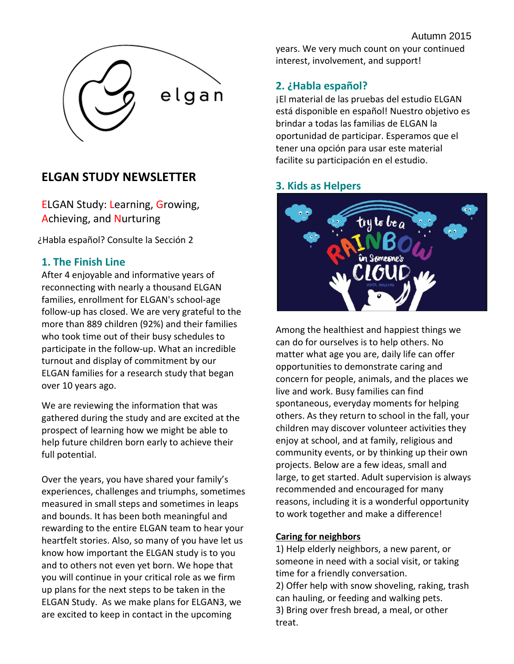

# **ELGAN STUDY NEWSLETTER**

ELGAN Study: Learning, Growing, Achieving, and Nurturing

¿Habla español? Consulte la Sección 2

# **1. The Finish Line**

After 4 enjoyable and informative years of reconnecting with nearly a thousand ELGAN families, enrollment for ELGAN's school-age follow-up has closed. We are very grateful to the more than 889 children (92%) and their families who took time out of their busy schedules to participate in the follow-up. What an incredible turnout and display of commitment by our ELGAN families for a research study that began over 10 years ago.

We are reviewing the information that was gathered during the study and are excited at the prospect of learning how we might be able to help future children born early to achieve their full potential.

Over the years, you have shared your family's experiences, challenges and triumphs, sometimes measured in small steps and sometimes in leaps and bounds. It has been both meaningful and rewarding to the entire ELGAN team to hear your heartfelt stories. Also, so many of you have let us know how important the ELGAN study is to you and to others not even yet born. We hope that you will continue in your critical role as we firm up plans for the next steps to be taken in the ELGAN Study. As we make plans for ELGAN3, we are excited to keep in contact in the upcoming

years. We very much count on your continued interest, involvement, and support!

# **2. ¿Habla español?**

¡El material de las pruebas del estudio ELGAN está disponible en español! Nuestro objetivo es brindar a todas las familias de ELGAN la oportunidad de participar. Esperamos que el tener una opción para usar este material facilite su participación en el estudio.

# **3. Kids as Helpers**



Among the healthiest and happiest things we can do for ourselves is to help others. No matter what age you are, daily life can offer opportunities to demonstrate caring and concern for people, animals, and the places we live and work. Busy families can find spontaneous, everyday moments for helping others. As they return to school in the fall, your children may discover volunteer activities they enjoy at school, and at family, religious and community events, or by thinking up their own projects. Below are a few ideas, small and large, to get started. Adult supervision is always recommended and encouraged for many reasons, including it is a wonderful opportunity to work together and make a difference!

#### **Caring for neighbors**

1) Help elderly neighbors, a new parent, or someone in need with a social visit, or taking time for a friendly conversation.

2) Offer help with snow shoveling, raking, trash can hauling, or feeding and walking pets. 3) Bring over fresh bread, a meal, or other treat.